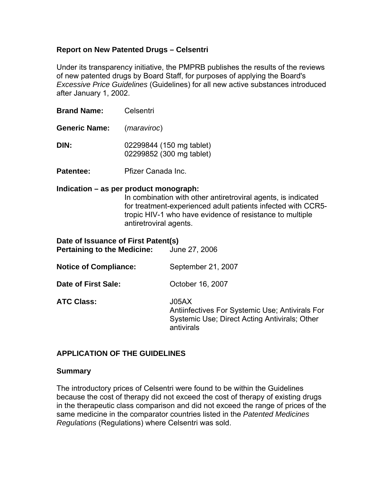## **Report on New Patented Drugs – Celsentri**

Under its transparency initiative, the PMPRB publishes the results of the reviews of new patented drugs by Board Staff, for purposes of applying the Board's *Excessive Price Guidelines* (Guidelines) for all new active substances introduced after January 1, 2002.

**Brand Name:** Celsentri

**Generic Name:** (*maraviroc*)

**DIN:** 02299844 (150 mg tablet) 02299852 (300 mg tablet)

**Patentee:** Pfizer Canada Inc.

#### **Indication – as per product monograph:**

In combination with other antiretroviral agents, is indicated for treatment-experienced adult patients infected with CCR5 tropic HIV-1 who have evidence of resistance to multiple antiretroviral agents.

| Date of Issuance of First Patent(s)<br><b>Pertaining to the Medicine:</b> | June 27, 2006                                                                                                           |
|---------------------------------------------------------------------------|-------------------------------------------------------------------------------------------------------------------------|
| <b>Notice of Compliance:</b>                                              | September 21, 2007                                                                                                      |
| Date of First Sale:                                                       | October 16, 2007                                                                                                        |
| <b>ATC Class:</b>                                                         | J05AX<br>Antiinfectives For Systemic Use; Antivirals For<br>Systemic Use; Direct Acting Antivirals; Other<br>antivirals |

### **APPLICATION OF THE GUIDELINES**

#### **Summary**

The introductory prices of Celsentri were found to be within the Guidelines because the cost of therapy did not exceed the cost of therapy of existing drugs in the therapeutic class comparison and did not exceed the range of prices of the same medicine in the comparator countries listed in the *Patented Medicines Regulations* (Regulations) where Celsentri was sold.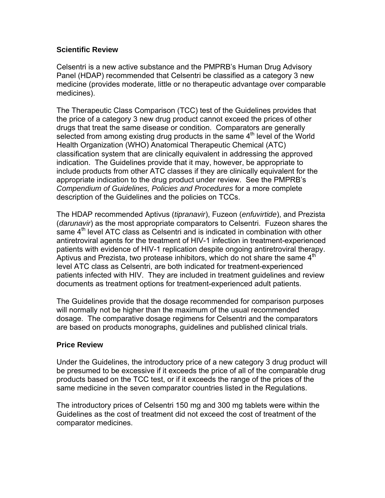## **Scientific Review**

Celsentri is a new active substance and the PMPRB's Human Drug Advisory Panel (HDAP) recommended that Celsentri be classified as a category 3 new medicine (provides moderate, little or no therapeutic advantage over comparable medicines).

The Therapeutic Class Comparison (TCC) test of the Guidelines provides that the price of a category 3 new drug product cannot exceed the prices of other drugs that treat the same disease or condition. Comparators are generally selected from among existing drug products in the same 4<sup>th</sup> level of the World Health Organization (WHO) Anatomical Therapeutic Chemical (ATC) classification system that are clinically equivalent in addressing the approved indication. The Guidelines provide that it may, however, be appropriate to include products from other ATC classes if they are clinically equivalent for the appropriate indication to the drug product under review. See the PMPRB's *Compendium of Guidelines, Policies and Procedures* for a more complete description of the Guidelines and the policies on TCCs.

The HDAP recommended Aptivus (*tipranavir*), Fuzeon (*enfuvirtide*), and Prezista (*darunavir*) as the most appropriate comparators to Celsentri. Fuzeon shares the same  $4<sup>th</sup>$  level ATC class as Celsentri and is indicated in combination with other antiretroviral agents for the treatment of HIV-1 infection in treatment-experienced patients with evidence of HIV-1 replication despite ongoing antiretroviral therapy. Aptivus and Prezista, two protease inhibitors, which do not share the same  $4<sup>th</sup>$ level ATC class as Celsentri, are both indicated for treatment-experienced patients infected with HIV. They are included in treatment guidelines and review documents as treatment options for treatment-experienced adult patients.

The Guidelines provide that the dosage recommended for comparison purposes will normally not be higher than the maximum of the usual recommended dosage. The comparative dosage regimens for Celsentri and the comparators are based on products monographs, guidelines and published clinical trials.

## **Price Review**

Under the Guidelines, the introductory price of a new category 3 drug product will be presumed to be excessive if it exceeds the price of all of the comparable drug products based on the TCC test, or if it exceeds the range of the prices of the same medicine in the seven comparator countries listed in the Regulations.

The introductory prices of Celsentri 150 mg and 300 mg tablets were within the Guidelines as the cost of treatment did not exceed the cost of treatment of the comparator medicines.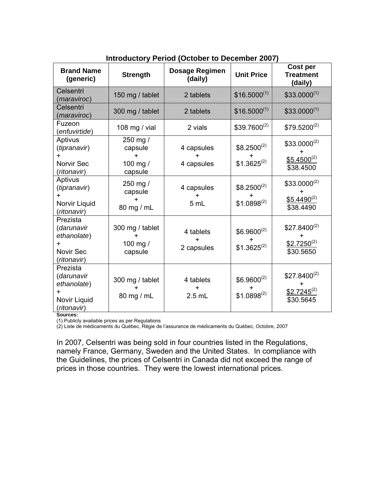| <b>Brand Name</b><br>(generic)                                                        | <b>Strength</b>                            | <b>Dosage Regimen</b><br>(daily) | <b>Unit Price</b>                        | Cost per<br><b>Treatment</b><br>(daily)           |
|---------------------------------------------------------------------------------------|--------------------------------------------|----------------------------------|------------------------------------------|---------------------------------------------------|
| Celsentri<br>(maraviroc)                                                              | 150 mg / tablet                            | 2 tablets                        | $$16.5000^{(1)}$                         | $$33.0000^{(1)}$                                  |
| Celsentri<br>maraviroc)                                                               | 300 mg / tablet                            | 2 tablets                        | $$16.5000^{(1)}$                         | $$33.0000^{(1)}$                                  |
| Fuzeon<br>(enfuvirtide)                                                               | 108 mg / vial                              | 2 vials                          | $$39.7600^{(2)}$                         | $$79.5200^{(2)}$                                  |
| Aptivus<br>(tipranavir)<br>$\ddot{}$<br>Norvir Sec<br>(ritonavir)                     | 250 mg /<br>capsule<br>100 mg /<br>capsule | 4 capsules<br>4 capsules         | $$8.2500^{(2)}$$<br>+<br>$$1.3625^{(2)}$ | $$33.0000^{(2)}$<br>$$5.4500^{(2)}$$<br>\$38.4500 |
| Aptivus<br>(tipranavir)<br>$+$<br>Norvir Liquid<br>(ritonavir)                        | 250 mg /<br>capsule<br>80 mg / mL          | 4 capsules<br>+<br>5 mL          | $$8.2500^{(2)}$$<br>$$1.0898^{(2)}$      | $$33.0000^{(2)}$<br>$$5.4490^{(2)}$<br>\$38,4490  |
| Prezista<br>(darunavir<br>ethanolate)<br>$\ddot{}$<br><b>Novir Sec</b><br>(ritonavir) | 300 mg / tablet<br>100 mg $/$<br>capsule   | 4 tablets<br>2 capsules          | $$6.9600^{(2)}$$<br>$$1.3625^{(2)}$      | $$27.8400^{(2)}$<br>$$2.7250^{(2)}$<br>\$30.5650  |
| Prezista<br>(darunavir<br>ethanolate)<br>$+$<br>Novir Liquid<br>(ritonavir)           | 300 mg / tablet<br>80 mg / mL              | 4 tablets<br>+<br>$2.5$ mL       | $$6.9600^{(2)}$$<br>$$1.0898^{(2)}$      | $$27.8400^{(2)}$<br>$$2.7245^{(2)}$<br>\$30.5645  |

# **Introductory Period (October to December 2007)**

**Sources:** 

(1) Publicly available prices as per Regulations

(2) Liste de médicaments du Québec, Régie de l'assurance de médicaments du Québec, Octobre, 2007

In 2007, Celsentri was being sold in four countries listed in the Regulations, namely France, Germany, Sweden and the United States. In compliance with the Guidelines, the prices of Celsentri in Canada did not exceed the range of prices in those countries. They were the lowest international prices.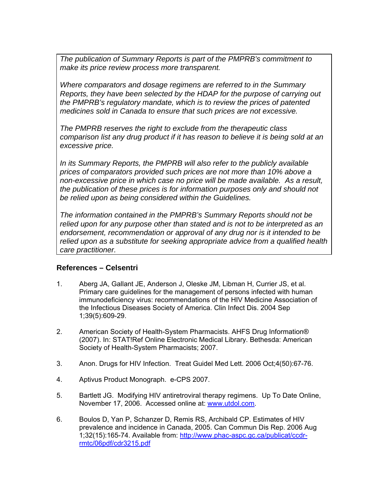*The publication of Summary Reports is part of the PMPRB's commitment to make its price review process more transparent.* 

*Where comparators and dosage regimens are referred to in the Summary Reports, they have been selected by the HDAP for the purpose of carrying out the PMPRB's regulatory mandate, which is to review the prices of patented medicines sold in Canada to ensure that such prices are not excessive.* 

*The PMPRB reserves the right to exclude from the therapeutic class comparison list any drug product if it has reason to believe it is being sold at an excessive price.* 

*In its Summary Reports, the PMPRB will also refer to the publicly available prices of comparators provided such prices are not more than 10% above a non-excessive price in which case no price will be made available. As a result, the publication of these prices is for information purposes only and should not be relied upon as being considered within the Guidelines.* 

*The information contained in the PMPRB's Summary Reports should not be relied upon for any purpose other than stated and is not to be interpreted as an endorsement, recommendation or approval of any drug nor is it intended to be relied upon as a substitute for seeking appropriate advice from a qualified health care practitioner.*

## **References – Celsentri**

- 1. Aberg JA, Gallant JE, Anderson J, Oleske JM, Libman H, Currier JS, et al. Primary care guidelines for the management of persons infected with human immunodeficiency virus: recommendations of the HIV Medicine Association of the Infectious Diseases Society of America. Clin Infect Dis. 2004 Sep 1;39(5):609-29.
- 2. American Society of Health-System Pharmacists. AHFS Drug Information® (2007). In: STAT!Ref Online Electronic Medical Library. Bethesda: American Society of Health-System Pharmacists; 2007.
- 3. Anon. Drugs for HIV Infection. Treat Guidel Med Lett. 2006 Oct;4(50):67-76.
- 4. Aptivus Product Monograph. e-CPS 2007.
- 5. Bartlett JG. Modifying HIV antiretroviral therapy regimens. Up To Date Online, November 17, 2006. Accessed online at: www.utdol.com.
- 6. Boulos D, Yan P, Schanzer D, Remis RS, Archibald CP. Estimates of HIV prevalence and incidence in Canada, 2005. Can Commun Dis Rep. 2006 Aug 1;32(15):165-74. Available from: http://www.phac-aspc.gc.ca/publicat/ccdrrmtc/06pdf/cdr3215.pdf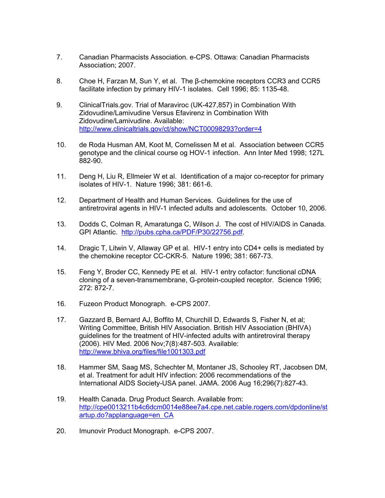- 7. Canadian Pharmacists Association. e-CPS. Ottawa: Canadian Pharmacists Association; 2007.
- 8. Choe H, Farzan M, Sun Y, et al. The β-chemokine receptors CCR3 and CCR5 facilitate infection by primary HIV-1 isolates. Cell 1996; 85: 1135-48.
- 9. ClinicalTrials.gov. Trial of Maraviroc (UK-427,857) in Combination With Zidovudine/Lamivudine Versus Efavirenz in Combination With Zidovudine/Lamivudine. Available: http://www.clinicaltrials.gov/ct/show/NCT00098293?order=4
- 10. de Roda Husman AM, Koot M, Cornelissen M et al. Association between CCR5 genotype and the clinical course og HOV-1 infection. Ann Inter Med 1998; 127L 882-90.
- 11. Deng H, Liu R, Ellmeier W et al. Identification of a major co-receptor for primary isolates of HIV-1. Nature 1996; 381: 661-6.
- 12. Department of Health and Human Services. Guidelines for the use of antiretroviral agents in HIV-1 infected adults and adolescents. October 10, 2006.
- 13. Dodds C, Colman R, Amaratunga C, Wilson J. The cost of HIV/AIDS in Canada. GPI Atlantic. http://pubs.cpha.ca/PDF/P30/22756.pdf.
- 14. Dragic T, Litwin V, Allaway GP et al. HIV-1 entry into CD4+ cells is mediated by the chemokine receptor CC-CKR-5. Nature 1996; 381: 667-73.
- 15. Feng Y, Broder CC, Kennedy PE et al. HIV-1 entry cofactor: functional cDNA cloning of a seven-transmembrane, G-protein-coupled receptor. Science 1996; 272: 872-7.
- 16. Fuzeon Product Monograph. e-CPS 2007.
- 17. Gazzard B, Bernard AJ, Boffito M, Churchill D, Edwards S, Fisher N, et al; Writing Committee, British HIV Association. British HIV Association (BHIVA) guidelines for the treatment of HIV-infected adults with antiretroviral therapy (2006). HIV Med. 2006 Nov;7(8):487-503. Available: http://www.bhiva.org/files/file1001303.pdf
- 18. Hammer SM, Saag MS, Schechter M, Montaner JS, Schooley RT, Jacobsen DM, et al. Treatment for adult HIV infection: 2006 recommendations of the International AIDS Society-USA panel. JAMA. 2006 Aug 16;296(7):827-43.
- 19. Health Canada. Drug Product Search. Available from: http://cpe0013211b4c6dcm0014e88ee7a4.cpe.net.cable.rogers.com/dpdonline/st artup.do?applanguage=en\_CA
- 20. Imunovir Product Monograph. e-CPS 2007.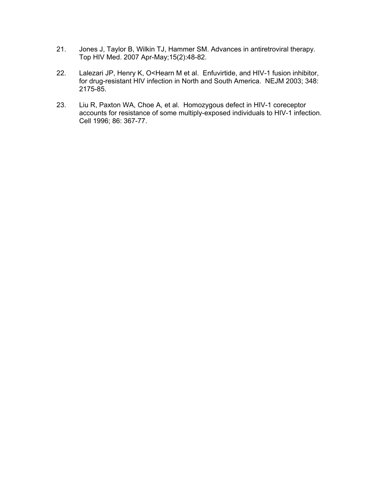- 21. Jones J, Taylor B, Wilkin TJ, Hammer SM. Advances in antiretroviral therapy. Top HIV Med. 2007 Apr-May;15(2):48-82.
- 22. Lalezari JP, Henry K, O<Hearn M et al. Enfuvirtide, and HIV-1 fusion inhibitor, for drug-resistant HIV infection in North and South America. NEJM 2003; 348: 2175-85.
- 23. Liu R, Paxton WA, Choe A, et al. Homozygous defect in HIV-1 coreceptor accounts for resistance of some multiply-exposed individuals to HIV-1 infection. Cell 1996; 86: 367-77.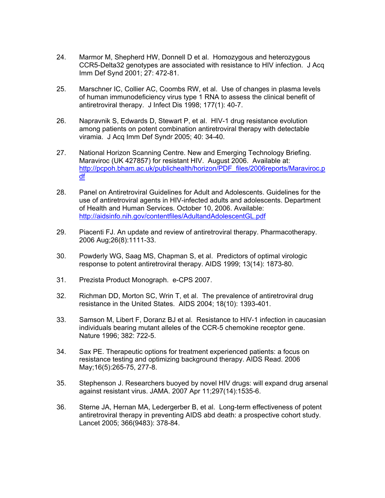- 24. Marmor M, Shepherd HW, Donnell D et al. Homozygous and heterozygous CCR5-Delta32 genotypes are associated with resistance to HIV infection. J Acq Imm Def Synd 2001; 27: 472-81.
- 25. Marschner IC, Collier AC, Coombs RW, et al. Use of changes in plasma levels of human immunodeficiency virus type 1 RNA to assess the clinical benefit of antiretroviral therapy. J Infect Dis 1998; 177(1): 40-7.
- 26. Napravnik S, Edwards D, Stewart P, et al. HIV-1 drug resistance evolution among patients on potent combination antiretroviral therapy with detectable viramia. J Acq Imm Def Syndr 2005; 40: 34-40.
- 27. National Horizon Scanning Centre. New and Emerging Technology Briefing. Maraviroc (UK 427857) for resistant HIV. August 2006. Available at: http://pcpoh.bham.ac.uk/publichealth/horizon/PDF\_files/2006reports/Maraviroc.p df
- 28. Panel on Antiretroviral Guidelines for Adult and Adolescents. Guidelines for the use of antiretroviral agents in HIV-infected adults and adolescents. Department of Health and Human Services. October 10, 2006. Available: http://aidsinfo.nih.gov/contentfiles/AdultandAdolescentGL.pdf
- 29. Piacenti FJ. An update and review of antiretroviral therapy. Pharmacotherapy. 2006 Aug;26(8):1111-33.
- 30. Powderly WG, Saag MS, Chapman S, et al. Predictors of optimal virologic response to potent antiretroviral therapy. AIDS 1999; 13(14): 1873-80.
- 31. Prezista Product Monograph. e-CPS 2007.
- 32. Richman DD, Morton SC, Wrin T, et al. The prevalence of antiretroviral drug resistance in the United States. AIDS 2004; 18(10): 1393-401.
- 33. Samson M, Libert F, Doranz BJ et al. Resistance to HIV-1 infection in caucasian individuals bearing mutant alleles of the CCR-5 chemokine receptor gene. Nature 1996; 382: 722-5.
- 34. Sax PE. Therapeutic options for treatment experienced patients: a focus on resistance testing and optimizing background therapy. AIDS Read. 2006 May;16(5):265-75, 277-8.
- 35. Stephenson J. Researchers buoyed by novel HIV drugs: will expand drug arsenal against resistant virus. JAMA. 2007 Apr 11;297(14):1535-6.
- 36. Sterne JA, Hernan MA, Ledergerber B, et al. Long-term effectiveness of potent antiretroviral therapy in preventing AIDS abd death: a prospective cohort study. Lancet 2005; 366(9483): 378-84.